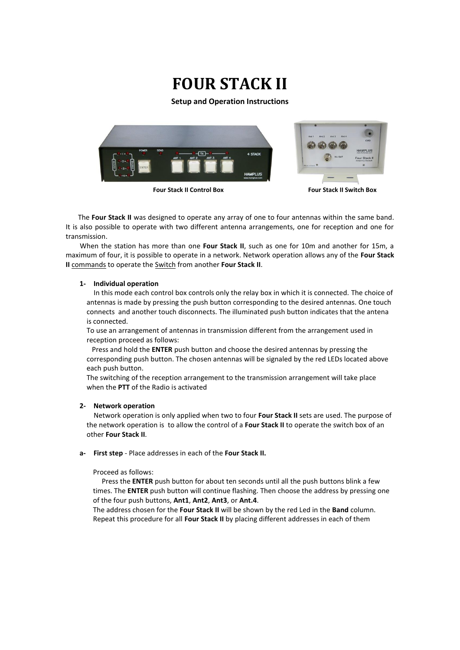# **FOUR STACK II**

**Setup and Operation Instructions**



 The **Four Stack II** was designed to operate any array of one to four antennas within the same band. It is also possible to operate with two different antenna arrangements, one for reception and one for transmission.

 When the station has more than one **Four Stack II**, such as one for 10m and another for 15m, a maximum of four, it is possible to operate in a network. Network operation allows any of the **Four Stack II** commands to operate the Switch from another **Four Stack II**.

### **1- Individual operation**

 In this mode each control box controls only the relay box in which it is connected. The choice of antennas is made by pressing the push button corresponding to the desired antennas. One touch connects and another touch disconnects. The illuminated push button indicates that the antena is connected.

 To use an arrangement of antennas in transmission different from the arrangement used in reception proceed as follows:

 Press and hold the **ENTER** push button and choose the desired antennas by pressing the corresponding push button. The chosen antennas will be signaled by the red LEDs located above each push button.

 The switching of the reception arrangement to the transmission arrangement will take place when the **PTT** of the Radio is activated

### **2- Network operation**

 Network operation is only applied when two to four **Four Stack II** sets are used. The purpose of the network operation is to allow the control of a **Four Stack II** to operate the switch box of an other **Four Stack II**.

**a- First step** - Place addresses in each of the **Four Stack II.**

### Proceed as follows:

Press the **ENTER** push button for about ten seconds until all the push buttons blink a few times. The **ENTER** push button will continue flashing. Then choose the address by pressing one of the four push buttons, **Ant1**, **Ant2**, **Ant3**, or **Ant.4**.

The address chosen for the **Four Stack II** will be shown by the red Led in the **Band** column. Repeat this procedure for all **Four Stack II** by placing different addresses in each of them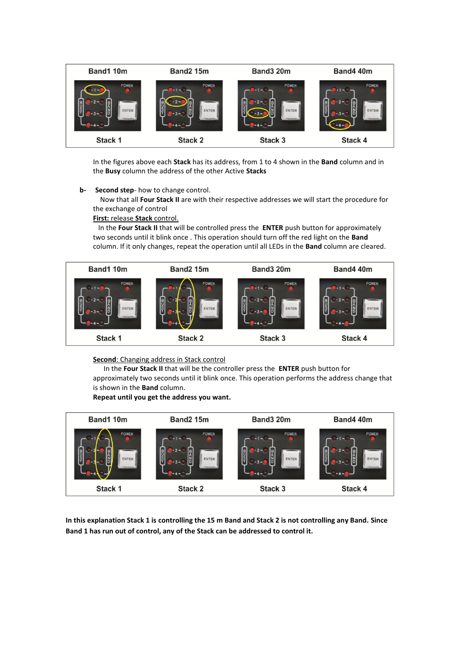

In the figures above each **Stack** has its address, from 1 to 4 shown in the **Band** column and in the **Busy** column the address of the other Active **Stacks**

### **b- Second step**- how to change control.

 Now that all **Four Stack II** are with their respective addresses we will start the procedure for the exchange of control

### **First:** release **Stack** control.

In the **Four Stack II** that will be controlled press the **ENTER** push button for approximately two seconds until it blink once . This operation should turn off the red light on the **Band** column. If it only changes, repeat the operation until all LEDs in the **Band** column are cleared.



### **Second**: Changing address in Stack control

 In the **Four Stack II** that will be the controller press the **ENTER** push button for approximately two seconds until it blink once. This operation performs the address change that is shown in the **Band** column.

## **Repeat until you get the address you want.**



**In this explanation Stack 1 is controlling the 15 m Band and Stack 2 is not controlling any Band. Since Band 1 has run out of control, any of the Stack can be addressed to control it.**